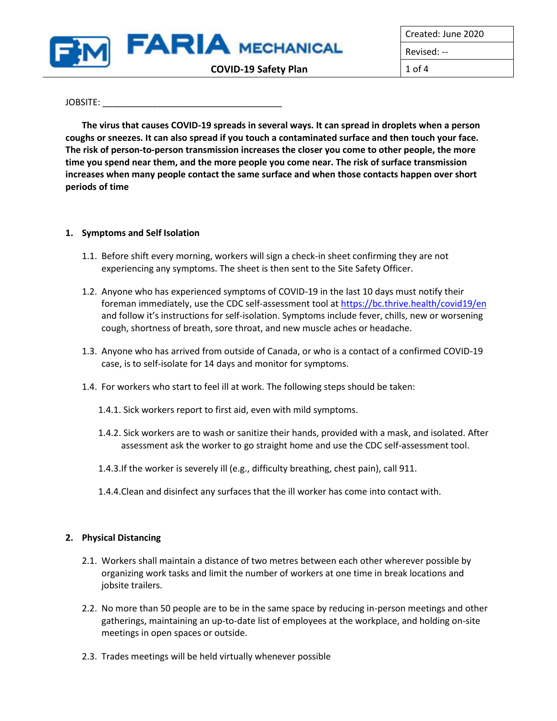

Created: June 2020 Revised: --

### $JOBSITE:$

**The virus that causes COVID-19 spreads in several ways. It can spread in droplets when a person coughs or sneezes. It can also spread if you touch a contaminated surface and then touch your face. The risk of person-to-person transmission increases the closer you come to other people, the more time you spend near them, and the more people you come near. The risk of surface transmission increases when many people contact the same surface and when those contacts happen over short periods of time**

## **1. Symptoms and Self Isolation**

- 1.1. Before shift every morning, workers will sign a check-in sheet confirming they are not experiencing any symptoms. The sheet is then sent to the Site Safety Officer.
- 1.2. Anyone who has experienced symptoms of COVID-19 in the last 10 days must notify their foreman immediately, use the CDC self-assessment tool at<https://bc.thrive.health/covid19/en> and follow it's instructions for self-isolation. Symptoms include fever, chills, new or worsening cough, shortness of breath, sore throat, and new muscle aches or headache.
- 1.3. Anyone who has arrived from outside of Canada, or who is a contact of a confirmed COVID-19 case, is to self-isolate for 14 days and monitor for symptoms.
- 1.4. For workers who start to feel ill at work. The following steps should be taken:
	- 1.4.1. Sick workers report to first aid, even with mild symptoms.
	- 1.4.2. Sick workers are to wash or sanitize their hands, provided with a mask, and isolated. After assessment ask the worker to go straight home and use the CDC self-assessment tool.
	- 1.4.3.If the worker is severely ill (e.g., difficulty breathing, chest pain), call 911.
	- 1.4.4.Clean and disinfect any surfaces that the ill worker has come into contact with.

## **2. Physical Distancing**

- 2.1. Workers shall maintain a distance of two metres between each other wherever possible by organizing work tasks and limit the number of workers at one time in break locations and jobsite trailers.
- 2.2. No more than 50 people are to be in the same space by reducing in-person meetings and other gatherings, maintaining an up-to-date list of employees at the workplace, and holding on-site meetings in open spaces or outside.
- 2.3. Trades meetings will be held virtually whenever possible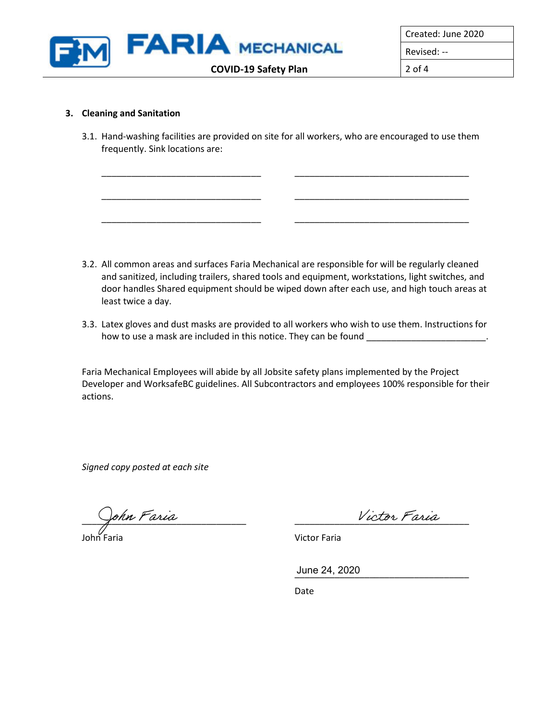

Created: June 2020

Revised: --

## **3. Cleaning and Sanitation**

3.1. Hand-washing facilities are provided on site for all workers, who are encouraged to use them frequently. Sink locations are:

\_\_\_\_\_\_\_\_\_\_\_\_\_\_\_\_\_\_\_\_\_\_\_\_\_\_\_\_\_\_\_\_ \_\_\_\_\_\_\_\_\_\_\_\_\_\_\_\_\_\_\_\_\_\_\_\_\_\_\_\_\_\_\_\_\_\_\_

\_\_\_\_\_\_\_\_\_\_\_\_\_\_\_\_\_\_\_\_\_\_\_\_\_\_\_\_\_\_\_\_ \_\_\_\_\_\_\_\_\_\_\_\_\_\_\_\_\_\_\_\_\_\_\_\_\_\_\_\_\_\_\_\_\_\_\_

\_\_\_\_\_\_\_\_\_\_\_\_\_\_\_\_\_\_\_\_\_\_\_\_\_\_\_\_\_\_\_\_ \_\_\_\_\_\_\_\_\_\_\_\_\_\_\_\_\_\_\_\_\_\_\_\_\_\_\_\_\_\_\_\_\_\_\_

- 3.2. All common areas and surfaces Faria Mechanical are responsible for will be regularly cleaned and sanitized, including trailers, shared tools and equipment, workstations, light switches, and door handles Shared equipment should be wiped down after each use, and high touch areas at least twice a day.
- 3.3. Latex gloves and dust masks are provided to all workers who wish to use them. Instructions for how to use a mask are included in this notice. They can be found \_\_\_\_\_\_\_\_\_\_\_\_\_\_\_

Faria Mechanical Employees will abide by all Jobsite safety plans implemented by the Project Developer and WorksafeBC guidelines. All Subcontractors and employees 100% responsible for their actions.

*Signed copy posted at each site*

\_\_\_\_\_\_\_\_\_\_\_\_\_\_\_\_\_\_\_\_\_\_\_\_\_\_\_\_\_\_\_\_\_ \_\_\_\_\_\_\_\_\_\_\_\_\_\_\_\_\_\_\_\_\_\_\_\_\_\_\_\_\_\_\_\_\_\_\_

John Faria Victor Faria

\_\_\_\_\_\_\_\_\_\_\_\_\_\_\_\_\_\_\_\_\_\_\_\_\_\_\_\_\_\_\_\_\_\_\_ June 24, 2020

Date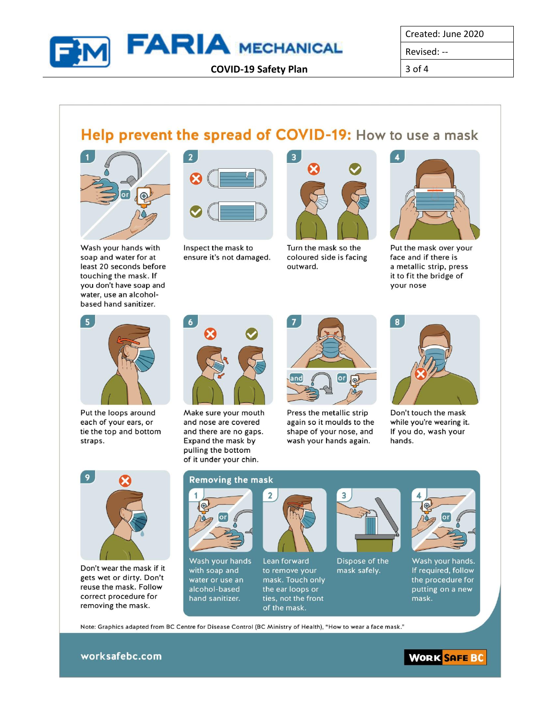

Created: June 2020

Revised: --

 $3$  of  $4$ 

# Help prevent the spread of COVID-19: How to use a mask



Wash your hands with soap and water for at least 20 seconds before touching the mask. If you don't have soap and water, use an alcoholbased hand sanitizer.



Inspect the mask to ensure it's not damaged.



Turn the mask so the coloured side is facing outward.



Put the mask over your face and if there is a metallic strip, press it to fit the bridge of your nose



Put the loops around each of your ears, or tie the top and bottom straps.



Make sure your mouth and nose are covered and there are no gaps. Expand the mask by pulling the bottom of it under your chin.



Press the metallic strip again so it moulds to the shape of your nose, and wash your hands again.



Don't touch the mask while you're wearing it. If you do, wash your hands.



Don't wear the mask if it gets wet or dirty. Don't reuse the mask. Follow correct procedure for removing the mask.

## **Removing the mask**



Wash your hands with soap and water or use an alcohol-based hand sanitizer.



Lean forward to remove your mask. Touch only the ear loops or ties, not the front of the mask.



Dispose of the mask safely.



Wash your hands. If required, follow the procedure for putting on a new mask.

Note: Graphics adapted from BC Centre for Disease Control (BC Ministry of Health), "How to wear a face mask."

worksafebc.com